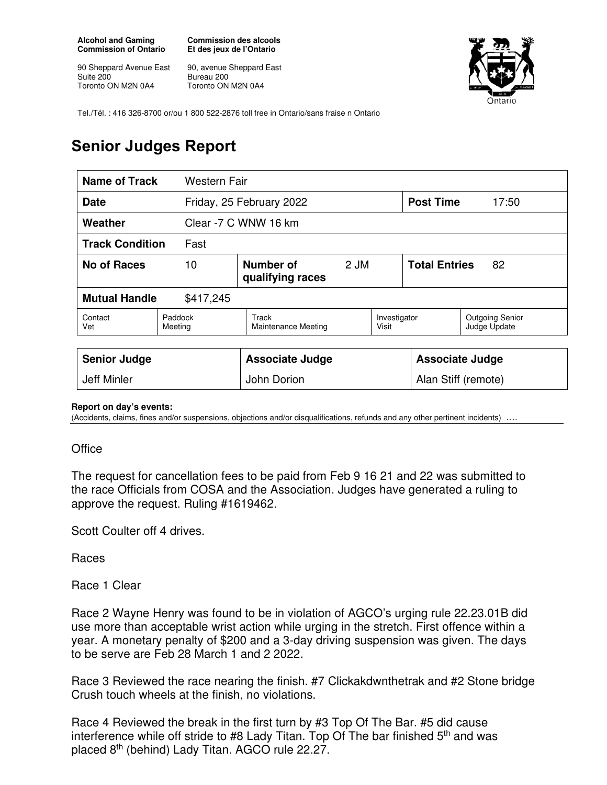**Alcohol and Gaming Commission of Ontario** 

90 Sheppard Avenue East Suite 200 Toronto ON M2N 0A4

**Commission des alcools Et des jeux de l'Ontario** 

90, avenue Sheppard East Bureau 200 Toronto ON M2N 0A4



Tel./Tél. : 416 326-8700 or/ou 1 800 522-2876 toll free in Ontario/sans fraise n Ontario

## **Senior Judges Report**

| <b>Name of Track</b><br>Western Fair |                                             |                                     |  |                            |              |                                        |
|--------------------------------------|---------------------------------------------|-------------------------------------|--|----------------------------|--------------|----------------------------------------|
| <b>Date</b>                          |                                             | Friday, 25 February 2022            |  | <b>Post Time</b>           | 17:50        |                                        |
| Weather                              |                                             | Clear -7 C WNW 16 km                |  |                            |              |                                        |
| <b>Track Condition</b><br>Fast       |                                             |                                     |  |                            |              |                                        |
| <b>No of Races</b>                   | Number of<br>10<br>2 JM<br>qualifying races |                                     |  | <b>Total Entries</b><br>82 |              |                                        |
| <b>Mutual Handle</b><br>\$417,245    |                                             |                                     |  |                            |              |                                        |
| Contact<br>Vet                       | Paddock<br>Meeting                          | Track<br><b>Maintenance Meeting</b> |  |                            | Investigator | <b>Outgoing Senior</b><br>Judge Update |
|                                      |                                             |                                     |  |                            |              |                                        |
| <b>Senior Judge</b>                  |                                             | <b>Associate Judge</b>              |  | <b>Associate Judge</b>     |              |                                        |
| Jeff Minler                          |                                             | John Dorion                         |  | Alan Stiff (remote)        |              |                                        |

## **Report on day's events:**

(Accidents, claims, fines and/or suspensions, objections and/or disqualifications, refunds and any other pertinent incidents)

## **Office**

The request for cancellation fees to be paid from Feb 9 16 21 and 22 was submitted to the race Officials from COSA and the Association. Judges have generated a ruling to approve the request. Ruling #1619462.

Scott Coulter off 4 drives.

Races

Race 1 Clear

Race 2 Wayne Henry was found to be in violation of AGCO's urging rule 22.23.01B did use more than acceptable wrist action while urging in the stretch. First offence within a year. A monetary penalty of \$200 and a 3-day driving suspension was given. The days to be serve are Feb 28 March 1 and 2 2022.

Race 3 Reviewed the race nearing the finish. #7 Clickakdwnthetrak and #2 Stone bridge Crush touch wheels at the finish, no violations.

Race 4 Reviewed the break in the first turn by #3 Top Of The Bar. #5 did cause interference while off stride to #8 Lady Titan. Top Of The bar finished  $5<sup>th</sup>$  and was placed 8th (behind) Lady Titan. AGCO rule 22.27.